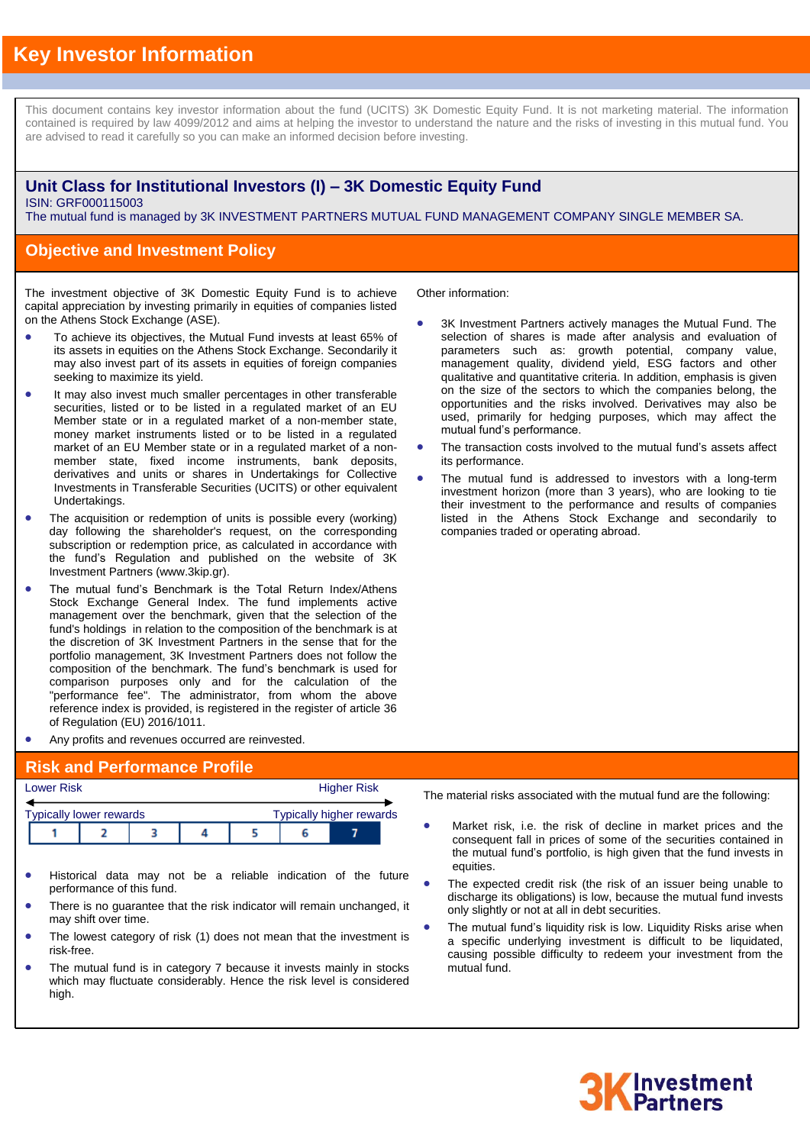# **Key Investor Information**

This document contains key investor information about the fund (UCITS) 3K Domestic Equity Fund. It is not marketing material. The information contained is required by law 4099/2012 and aims at helping the investor to understand the nature and the risks of investing in this mutual fund. You are advised to read it carefully so you can make an informed decision before investing.

#### **Unit Class for Institutional Investors (I) – 3K Domestic Equity Fund** ISIN: GRF000115003

The mutual fund is managed by 3K INVESTMENT PARTNERS MUTUAL FUND MANAGEMENT COMPANY SINGLE MEMBER SA.

#### **Objective and Investment Policy**

The investment objective of 3K Domestic Equity Fund is to achieve capital appreciation by investing primarily in equities of companies listed on the Athens Stock Exchange (ASE).

- To achieve its objectives, the Mutual Fund invests at least 65% of its assets in equities on the Athens Stock Exchange. Secondarily it may also invest part of its assets in equities of foreign companies seeking to maximize its yield.
- It may also invest much smaller percentages in other transferable securities, listed or to be listed in a regulated market of an EU Member state or in a regulated market of a non-member state, money market instruments listed or to be listed in a regulated market of an EU Member state or in a regulated market of a nonmember state, fixed income instruments, bank deposits, derivatives and units or shares in Undertakings for Collective Investments in Transferable Securities (UCITS) or other equivalent Undertakings.
- The acquisition or redemption of units is possible every (working) day following the shareholder's request, on the corresponding subscription or redemption price, as calculated in accordance with the fund's Regulation and published on the website of 3K Investment Partners (www.3kip.gr).
- The mutual fund's Benchmark is the Total Return Index/Athens Stock Exchange General Index. The fund implements active management over the benchmark, given that the selection of the fund's holdings in relation to the composition of the benchmark is at the discretion of 3K Investment Partners in the sense that for the portfolio management, 3K Investment Partners does not follow the composition of the benchmark. The fund's benchmark is used for comparison purposes only and for the calculation of the "performance fee". The administrator, from whom the above reference index is provided, is registered in the register of article 36 of Regulation (EU) 2016/1011.
- Any profits and revenues occurred are reinvested.

#### **Risk and Performance Profile**

| <b>Lower Risk</b> |                                |  | <b>Higher Risk</b> |  |  |                                 |  |
|-------------------|--------------------------------|--|--------------------|--|--|---------------------------------|--|
|                   | <b>Typically lower rewards</b> |  |                    |  |  | <b>Typically higher rewards</b> |  |
|                   |                                |  |                    |  |  |                                 |  |

- Historical data may not be a reliable indication of the future performance of this fund.
- There is no guarantee that the risk indicator will remain unchanged, it may shift over time.
- The lowest category of risk (1) does not mean that the investment is risk-free.
- The mutual fund is in category 7 because it invests mainly in stocks which may fluctuate considerably. Hence the risk level is considered high.

Other information:

- 3K Investment Partners actively manages the Mutual Fund. The selection of shares is made after analysis and evaluation of parameters such as: growth potential, company value, management quality, dividend yield, ESG factors and other qualitative and quantitative criteria. In addition, emphasis is given on the size of the sectors to which the companies belong, the opportunities and the risks involved. Derivatives may also be used, primarily for hedging purposes, which may affect the mutual fund's performance.
- The transaction costs involved to the mutual fund's assets affect its performance.
- The mutual fund is addressed to investors with a long-term investment horizon (more than 3 years), who are looking to tie their investment to the performance and results of companies listed in the Athens Stock Exchange and secondarily to companies traded or operating abroad.

The material risks associated with the mutual fund are the following:

- Market risk, i.e. the risk of decline in market prices and the consequent fall in prices of some of the securities contained in the mutual fund's portfolio, is high given that the fund invests in equities.
- The expected credit risk (the risk of an issuer being unable to discharge its obligations) is low, because the mutual fund invests only slightly or not at all in debt securities.
- The mutual fund's liquidity risk is low. Liquidity Risks arise when a specific underlying investment is difficult to be liquidated, causing possible difficulty to redeem your investment from the mutual fund.